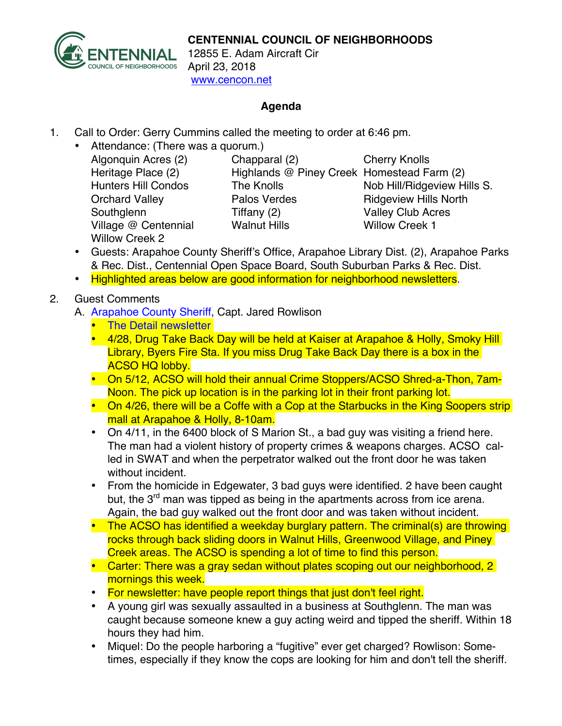

12855 E. Adam Aircraft Cir April 23, 2018 www.cencon.net

## **Agenda**

- 1. Call to Order: Gerry Cummins called the meeting to order at 6:46 pm.
	- Attendance: (There was a quorum.) Algonquin Acres (2) Chapparal (2) Cherry Knolls
		- Southglenn Tiffany (2) Valley Club Acres Village @ Centennial Walnut Hills Willow Creek 1 Willow Creek 2

Heritage Place (2) Highlands @ Piney Creek Homestead Farm (2) Hunters Hill Condos The Knolls Nob Hill/Ridgeview Hills S. Orchard Valley **Palos Verdes** Ridgeview Hills North

- Guests: Arapahoe County Sheriff's Office, Arapahoe Library Dist. (2), Arapahoe Parks & Rec. Dist., Centennial Open Space Board, South Suburban Parks & Rec. Dist.
- Highlighted areas below are good information for neighborhood newsletters.
- 2. Guest Comments
	- A. [Arapahoe County Sheriff,](http://www.arapahoesheriff.org) Capt. Jared Rowlison
		- [The Detail newsletter](http://www.arapahoegov.com/documentcenter/view/3658)
		- 4/28, Drug Take Back Day will be held at Kaiser at Arapahoe & Holly, Smoky Hill Library, Byers Fire Sta. If you miss Drug Take Back Day there is a box in the ACSO HQ lobby.
		- On 5/12, ACSO will hold their annual Crime Stoppers/ACSO Shred-a-Thon, 7am-Noon. The pick up location is in the parking lot in their front parking lot.
		- On 4/26, there will be a Coffe with a Cop at the Starbucks in the King Soopers strip mall at Arapahoe & Holly, 8-10am.
		- On 4/11, in the 6400 block of S Marion St., a bad guy was visiting a friend here. The man had a violent history of property crimes & weapons charges. ACSO called in SWAT and when the perpetrator walked out the front door he was taken without incident.
		- From the homicide in Edgewater, 3 bad guys were identified. 2 have been caught but, the 3<sup>rd</sup> man was tipped as being in the apartments across from ice arena. Again, the bad guy walked out the front door and was taken without incident.
		- The ACSO has identified a weekday burglary pattern. The criminal(s) are throwing rocks through back sliding doors in Walnut Hills, Greenwood Village, and Piney Creek areas. The ACSO is spending a lot of time to find this person.
		- Carter: There was a gray sedan without plates scoping out our neighborhood, 2 mornings this week.
		- For newsletter: have people report things that just don't feel right.
		- A young girl was sexually assaulted in a business at Southglenn. The man was caught because someone knew a guy acting weird and tipped the sheriff. Within 18 hours they had him.
		- Miquel: Do the people harboring a "fugitive" ever get charged? Rowlison: Sometimes, especially if they know the cops are looking for him and don't tell the sheriff.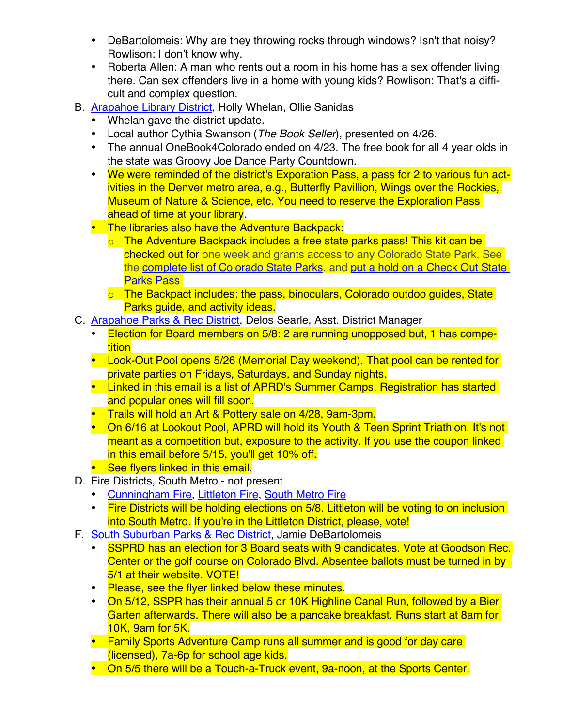- DeBartolomeis: Why are they throwing rocks through windows? Isn't that noisy? Rowlison: I don't know why.
- Roberta Allen: A man who rents out a room in his home has a sex offender living there. Can sex offenders live in a home with young kids? Rowlison: That's a difficult and complex question.
- B. [Arapahoe Library District,](http://www.arapahoelibraries.org/) Holly Whelan, Ollie Sanidas
	- Whelan gave the district update.
	- Local author Cythia Swanson (*The Book Seller*), presented on 4/26.
	- The annual OneBook4Colorado ended on 4/23. The free book for all 4 year olds in the state was Groovy Joe Dance Party Countdown.
	- We were reminded of the district's Exporation Pass, a pass for 2 to various fun activities in the Denver metro area, e.g., Butterfly Pavillion, Wings over the Rockies, Museum of Nature & Science, etc. You need to reserve the Exploration Pass ahead of time at your library.
	- The libraries also have the Adventure Backpack:
		- o The Adventure Backpack includes a free state parks pass! This kit can be checked out for one week and grants access t[o any Colorado State Park. See](https://arapahoelibraries.bibliocommons.com/item/show/1840947115)  the complete list of [Colorado](http://cpw.state.co.us/placestogo/parks/Pages/parkMap.aspx) State Parks, and put a hold on a Check Out State [Parks](https://arapahoelibraries.bibliocommons.com/item/show/1840947115) Pass
		- o The Backpact includes: the pass, binoculars, Colorado outdoo quides, State Parks guide, and activity ideas.
- C. [Arapahoe Parks & Rec District,](http://www.aprd.org) Delos Searle, Asst. District Manager
	- Election for Board members on 5/8: 2 are running unopposed but, 1 has competition
	- Look-Out Pool opens 5/26 (Memorial Day weekend). That pool can be rented for private parties on Fridays, Saturdays, and Sunday nights.
	- Linked in this email is a list of APRD's Summer Camps. Registration has started and popular ones will fill soon.
	- Trails will hold an Art & Pottery sale on 4/28, 9am-3pm.
	- On 6/16 at Lookout Pool, APRD will hold its Youth & Teen Sprint Triathlon. It's not meant as a competition but, exposure to the activity. If you use the coupon linked in this email before 5/15, you'll get 10% off.
	- See flyers linked in this email.
- D. Fire Districts, South Metro not present
	- [Cunningham Fire](http://www.cfpd.org)[, Littleton Fire,](http://www.littletongov.org/fire) [South Metro](http://www.southmetro.org) Fire
	- Fire Districts will be holding elections on 5/8. Littleton will be voting to on inclusion into South Metro. If you're in the Littleton District, please, vote!
- F. [South Suburban Parks & Rec District,](http://www.SSPR.org) Jamie DeBartolomeis
	- SSPRD has an election for 3 Board seats with 9 candidates. Vote at Goodson Rec. Center or the golf course on Colorado Blvd. Absentee ballots must be turned in by 5/1 at their website. VOTE!
	- Please, see the flyer linked below these minutes.
	- On 5/12, SSPR has their annual 5 or 10K Highline Canal Run, followed by a Bier Garten afterwards. There will also be a pancake breakfast. Runs start at 8am for 10K, 9am for 5K.
	- Family Sports Adventure Camp runs all summer and is good for day care (licensed), 7a-6p for school age kids.
	- On 5/5 there will be a Touch-a-Truck event, 9a-noon, at the Sports Center.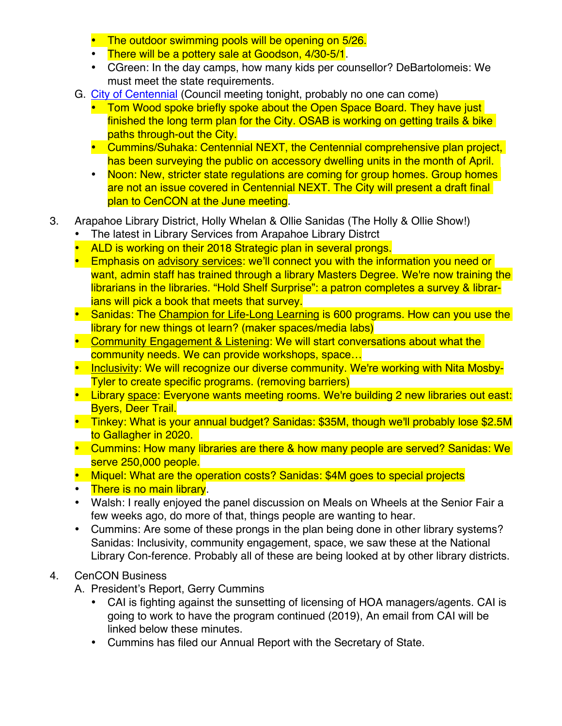- The outdoor swimming pools will be opening on 5/26.
- There will be a pottery sale at Goodson, 4/30-5/1.
- CGreen: In the day camps, how many kids per counsellor? DeBartolomeis: We must meet the state requirements.
- G. [City of Centennial](http://www.centennialco.gov) (Council meeting tonight, probably no one can come)
	- Tom Wood spoke briefly spoke about the Open Space Board. They have just finished the long term plan for the City. OSAB is working on getting trails & bike paths through-out the City.
	- Cummins/Suhaka: Centennial NEXT, the Centennial comprehensive plan project, has been surveying the public on accessory dwelling units in the month of April.
	- Noon: New, stricter state regulations are coming for group homes. Group homes are not an issue covered in Centennial NEXT. The City will present a draft final plan to CenCON at the June meeting.
- 3. Arapahoe Library District, Holly Whelan & Ollie Sanidas (The Holly & Ollie Show!)
	- The latest in Library Services from Arapahoe Library Distrct
	- ALD is working on their 2018 Strategic plan in several prongs.
	- Emphasis on advisory services: we'll connect you with the information you need or want, admin staff has trained through a library Masters Degree. We're now training the librarians in the libraries. "Hold Shelf Surprise": a patron completes a survey & librarians will pick a book that meets that survey.
	- Sanidas: The Champion for Life-Long Learning is 600 programs. How can you use the library for new things ot learn? (maker spaces/media labs)
	- Community Engagement & Listening: We will start conversations about what the community needs. We can provide workshops, space…
	- Inclusivity: We will recognize our diverse community. We're working with Nita Mosby-Tyler to create specific programs. (removing barriers)
	- Library space: Everyone wants meeting rooms. We're building 2 new libraries out east: Byers, Deer Trail.
	- Tinkey: What is your annual budget? Sanidas: \$35M, though we'll probably lose \$2.5M to Gallagher in 2020.
	- Cummins: How many libraries are there & how many people are served? Sanidas: We serve 250,000 people.
	- Miquel: What are the operation costs? Sanidas: \$4M goes to special projects
	- There is no main library.
	- Walsh: I really enjoyed the panel discussion on Meals on Wheels at the Senior Fair a few weeks ago, do more of that, things people are wanting to hear.
	- Cummins: Are some of these prongs in the plan being done in other library systems? Sanidas: Inclusivity, community engagement, space, we saw these at the National Library Con-ference. Probably all of these are being looked at by other library districts.

## 4. CenCON Business

- A. President's Report, Gerry Cummins
	- CAI is fighting against the sunsetting of licensing of HOA managers/agents. CAI is going to work to have the program continued (2019), An email from CAI will be linked below these minutes.
	- Cummins has filed our Annual Report with the Secretary of State.